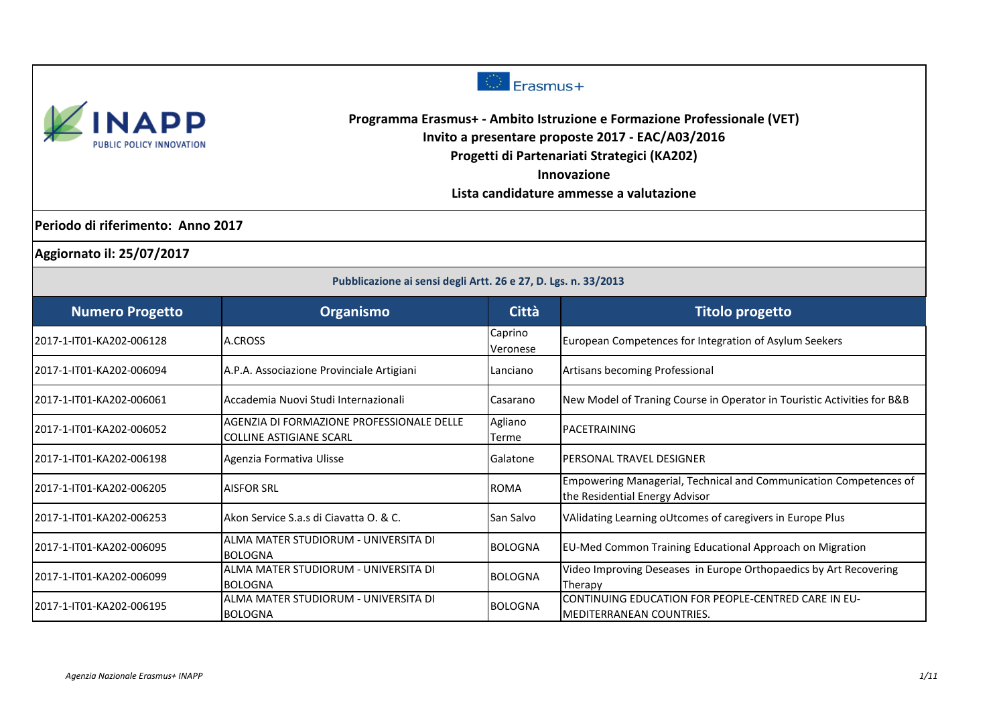



**Programma Erasmus+ - Ambito Istruzione e Formazione Professionale (VET) Invito a presentare proposte 2017 - EAC/A03/2016 Progetti di Partenariati Strategici (KA202)**

**Innovazione**

**Lista candidature ammesse a valutazione**

**Periodo di riferimento: Anno 2017**

**Aggiornato il: 25/07/2017**

| Pubblicazione ai sensi degli Artt. 26 e 27, D. Lgs. n. 33/2013 |                                                                             |                     |                                                                                                     |
|----------------------------------------------------------------|-----------------------------------------------------------------------------|---------------------|-----------------------------------------------------------------------------------------------------|
| <b>Numero Progetto</b>                                         | Organismo                                                                   | <b>Città</b>        | <b>Titolo progetto</b>                                                                              |
| 2017-1-IT01-KA202-006128                                       | A.CROSS                                                                     | Caprino<br>Veronese | European Competences for Integration of Asylum Seekers                                              |
| 2017-1-IT01-KA202-006094                                       | A.P.A. Associazione Provinciale Artigiani                                   | <b>Lanciano</b>     | Artisans becoming Professional                                                                      |
| 2017-1-IT01-KA202-006061                                       | Accademia Nuovi Studi Internazionali                                        | Casarano            | New Model of Traning Course in Operator in Touristic Activities for B&B                             |
| 2017-1-IT01-KA202-006052                                       | AGENZIA DI FORMAZIONE PROFESSIONALE DELLE<br><b>COLLINE ASTIGIANE SCARL</b> | Agliano<br>Terme    | PACETRAINING                                                                                        |
| 2017-1-IT01-KA202-006198                                       | Agenzia Formativa Ulisse                                                    | Galatone            | PERSONAL TRAVEL DESIGNER                                                                            |
| 2017-1-IT01-KA202-006205                                       | <b>AISFOR SRL</b>                                                           | <b>ROMA</b>         | Empowering Managerial, Technical and Communication Competences of<br>the Residential Energy Advisor |
| 2017-1-IT01-KA202-006253                                       | Akon Service S.a.s di Ciavatta O. & C.                                      | San Salvo           | VAlidating Learning oUtcomes of caregivers in Europe Plus                                           |
| 2017-1-IT01-KA202-006095                                       | ALMA MATER STUDIORUM - UNIVERSITA DI<br><b>BOLOGNA</b>                      | <b>BOLOGNA</b>      | EU-Med Common Training Educational Approach on Migration                                            |
| 2017-1-IT01-KA202-006099                                       | ALMA MATER STUDIORUM - UNIVERSITA DI<br><b>BOLOGNA</b>                      | <b>BOLOGNA</b>      | Video Improving Deseases in Europe Orthopaedics by Art Recovering<br>Therapy                        |
| 2017-1-IT01-KA202-006195                                       | ALMA MATER STUDIORUM - UNIVERSITA DI<br><b>BOLOGNA</b>                      | <b>BOLOGNA</b>      | CONTINUING EDUCATION FOR PEOPLE-CENTRED CARE IN EU-<br>IMEDITERRANEAN COUNTRIES.                    |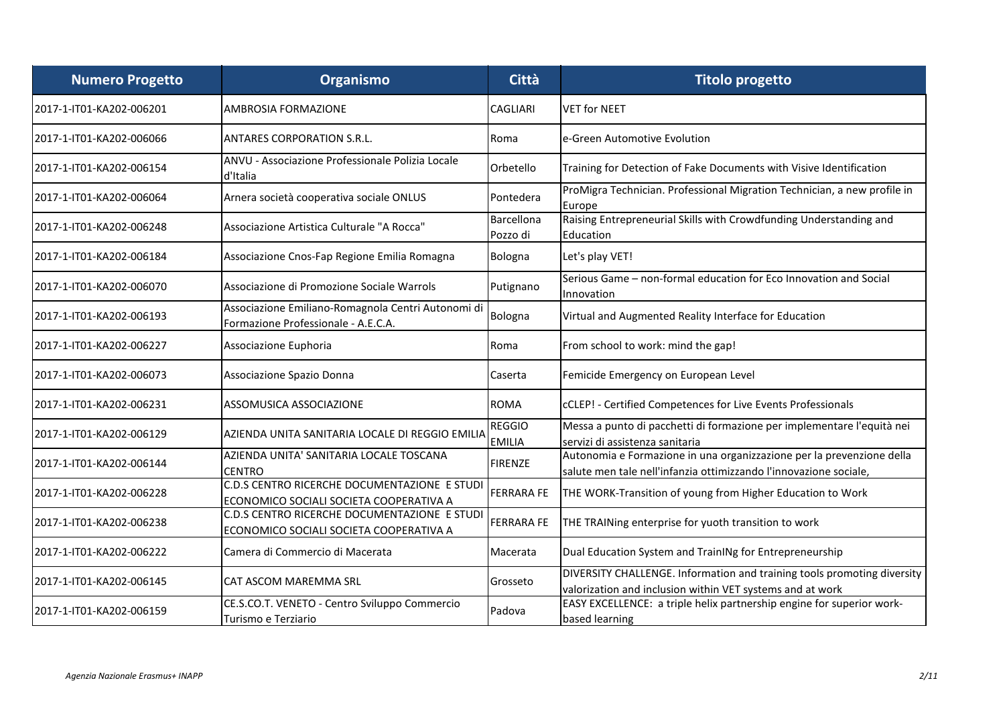| <b>Numero Progetto</b>   | Organismo                                                                                 | Città                          | <b>Titolo progetto</b>                                                                                                                     |
|--------------------------|-------------------------------------------------------------------------------------------|--------------------------------|--------------------------------------------------------------------------------------------------------------------------------------------|
| 2017-1-IT01-KA202-006201 | <b>AMBROSIA FORMAZIONE</b>                                                                | <b>CAGLIARI</b>                | <b>VET for NEET</b>                                                                                                                        |
| 2017-1-IT01-KA202-006066 | <b>ANTARES CORPORATION S.R.L.</b>                                                         | Roma                           | e-Green Automotive Evolution                                                                                                               |
| 2017-1-IT01-KA202-006154 | ANVU - Associazione Professionale Polizia Locale<br>d'Italia                              | Orbetello                      | Training for Detection of Fake Documents with Visive Identification                                                                        |
| 2017-1-IT01-KA202-006064 | Arnera società cooperativa sociale ONLUS                                                  | Pontedera                      | ProMigra Technician. Professional Migration Technician, a new profile in<br>Europe                                                         |
| 2017-1-IT01-KA202-006248 | Associazione Artistica Culturale "A Rocca"                                                | Barcellona<br>Pozzo di         | Raising Entrepreneurial Skills with Crowdfunding Understanding and<br>Education                                                            |
| 2017-1-IT01-KA202-006184 | Associazione Cnos-Fap Regione Emilia Romagna                                              | Bologna                        | Let's play VET!                                                                                                                            |
| 2017-1-IT01-KA202-006070 | Associazione di Promozione Sociale Warrols                                                | Putignano                      | Serious Game - non-formal education for Eco Innovation and Social<br>Innovation                                                            |
| 2017-1-IT01-KA202-006193 | Associazione Emiliano-Romagnola Centri Autonomi di<br>Formazione Professionale - A.E.C.A. | Bologna                        | Virtual and Augmented Reality Interface for Education                                                                                      |
| 2017-1-IT01-KA202-006227 | Associazione Euphoria                                                                     | Roma                           | From school to work: mind the gap!                                                                                                         |
| 2017-1-IT01-KA202-006073 | Associazione Spazio Donna                                                                 | Caserta                        | Femicide Emergency on European Level                                                                                                       |
| 2017-1-IT01-KA202-006231 | ASSOMUSICA ASSOCIAZIONE                                                                   | <b>ROMA</b>                    | cCLEP! - Certified Competences for Live Events Professionals                                                                               |
| 2017-1-IT01-KA202-006129 | AZIENDA UNITA SANITARIA LOCALE DI REGGIO EMILIA                                           | <b>REGGIO</b><br><b>EMILIA</b> | Messa a punto di pacchetti di formazione per implementare l'equità nei<br>servizi di assistenza sanitaria                                  |
| 2017-1-IT01-KA202-006144 | AZIENDA UNITA' SANITARIA LOCALE TOSCANA<br><b>CENTRO</b>                                  | <b>FIRENZE</b>                 | Autonomia e Formazione in una organizzazione per la prevenzione della<br>salute men tale nell'infanzia ottimizzando l'innovazione sociale, |
| 2017-1-IT01-KA202-006228 | C.D.S CENTRO RICERCHE DOCUMENTAZIONE E STUDI<br>ECONOMICO SOCIALI SOCIETA COOPERATIVA A   | <b>FERRARA FE</b>              | THE WORK-Transition of young from Higher Education to Work                                                                                 |
| 2017-1-IT01-KA202-006238 | C.D.S CENTRO RICERCHE DOCUMENTAZIONE E STUDI<br>ECONOMICO SOCIALI SOCIETA COOPERATIVA A   | <b>FERRARA FE</b>              | THE TRAINing enterprise for yuoth transition to work                                                                                       |
| 2017-1-IT01-KA202-006222 | Camera di Commercio di Macerata                                                           | Macerata                       | Dual Education System and TrainINg for Entrepreneurship                                                                                    |
| 2017-1-IT01-KA202-006145 | CAT ASCOM MAREMMA SRL                                                                     | Grosseto                       | DIVERSITY CHALLENGE. Information and training tools promoting diversity<br>valorization and inclusion within VET systems and at work       |
| 2017-1-IT01-KA202-006159 | CE.S.CO.T. VENETO - Centro Sviluppo Commercio<br>Turismo e Terziario                      | Padova                         | EASY EXCELLENCE: a triple helix partnership engine for superior work-<br>based learning                                                    |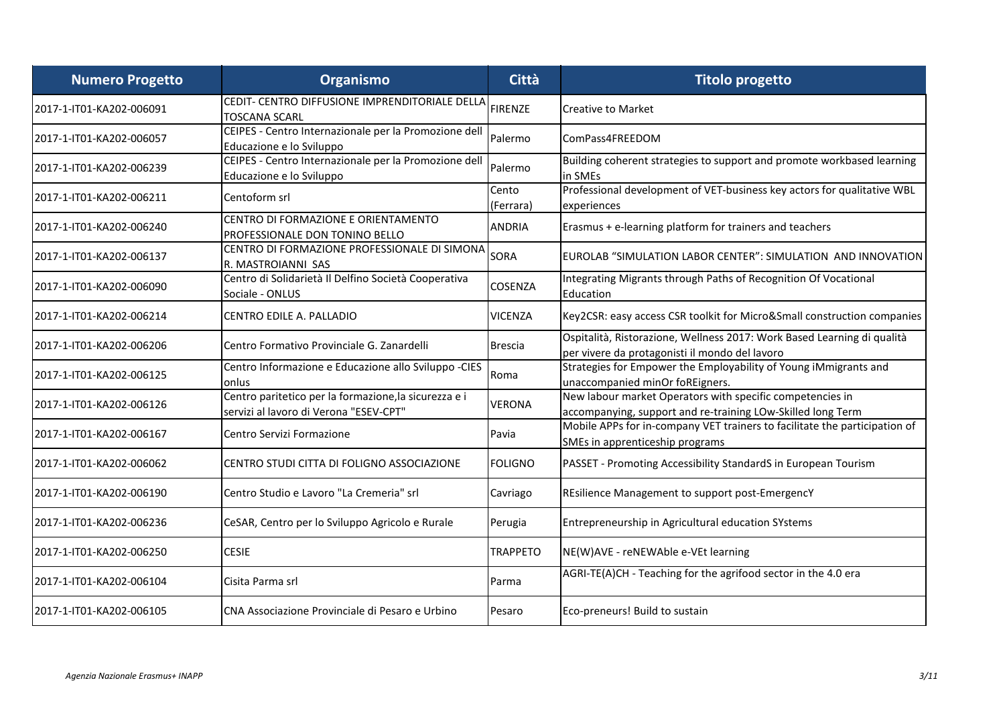| <b>Numero Progetto</b>   | Organismo                                                                                       | Città              | <b>Titolo progetto</b>                                                                                                    |
|--------------------------|-------------------------------------------------------------------------------------------------|--------------------|---------------------------------------------------------------------------------------------------------------------------|
| 2017-1-IT01-KA202-006091 | CEDIT- CENTRO DIFFUSIONE IMPRENDITORIALE DELLA<br><b>TOSCANA SCARL</b>                          | <b>FIRENZE</b>     | <b>Creative to Market</b>                                                                                                 |
| 2017-1-IT01-KA202-006057 | CEIPES - Centro Internazionale per la Promozione dell<br>Educazione e lo Sviluppo               | Palermo            | ComPass4FREEDOM                                                                                                           |
| 2017-1-IT01-KA202-006239 | CEIPES - Centro Internazionale per la Promozione dell<br>Educazione e lo Sviluppo               | Palermo            | Building coherent strategies to support and promote workbased learning<br>in SMEs                                         |
| 2017-1-IT01-KA202-006211 | Centoform srl                                                                                   | Cento<br>(Ferrara) | Professional development of VET-business key actors for qualitative WBL<br>experiences                                    |
| 2017-1-IT01-KA202-006240 | CENTRO DI FORMAZIONE E ORIENTAMENTO<br>PROFESSIONALE DON TONINO BELLO                           | <b>ANDRIA</b>      | Erasmus + e-learning platform for trainers and teachers                                                                   |
| 2017-1-IT01-KA202-006137 | CENTRO DI FORMAZIONE PROFESSIONALE DI SIMONA<br>R. MASTROIANNI SAS                              | <b>SORA</b>        | EUROLAB "SIMULATION LABOR CENTER": SIMULATION AND INNOVATION                                                              |
| 2017-1-IT01-KA202-006090 | Centro di Solidarietà Il Delfino Società Cooperativa<br>Sociale - ONLUS                         | <b>COSENZA</b>     | Integrating Migrants through Paths of Recognition Of Vocational<br>Education                                              |
| 2017-1-IT01-KA202-006214 | CENTRO EDILE A. PALLADIO                                                                        | VICENZA            | Key2CSR: easy access CSR toolkit for Micro&Small construction companies                                                   |
| 2017-1-IT01-KA202-006206 | Centro Formativo Provinciale G. Zanardelli                                                      | <b>Brescia</b>     | Ospitalità, Ristorazione, Wellness 2017: Work Based Learning di qualità<br>per vivere da protagonisti il mondo del lavoro |
| 2017-1-IT01-KA202-006125 | Centro Informazione e Educazione allo Sviluppo -CIES<br>lonlus                                  | Roma               | Strategies for Empower the Employability of Young iMmigrants and<br>unaccompanied minOr foREigners.                       |
| 2017-1-IT01-KA202-006126 | Centro paritetico per la formazione, la sicurezza e i<br>servizi al lavoro di Verona "ESEV-CPT" | VERONA             | New labour market Operators with specific competencies in<br>accompanying, support and re-training LOw-Skilled long Term  |
| 2017-1-IT01-KA202-006167 | Centro Servizi Formazione                                                                       | Pavia              | Mobile APPs for in-company VET trainers to facilitate the participation of<br>SMEs in apprenticeship programs             |
| 2017-1-IT01-KA202-006062 | CENTRO STUDI CITTA DI FOLIGNO ASSOCIAZIONE                                                      | <b>FOLIGNO</b>     | PASSET - Promoting Accessibility StandardS in European Tourism                                                            |
| 2017-1-IT01-KA202-006190 | Centro Studio e Lavoro "La Cremeria" srl                                                        | Cavriago           | REsilience Management to support post-EmergencY                                                                           |
| 2017-1-IT01-KA202-006236 | CeSAR, Centro per lo Sviluppo Agricolo e Rurale                                                 | Perugia            | Entrepreneurship in Agricultural education SYstems                                                                        |
| 2017-1-IT01-KA202-006250 | <b>CESIE</b>                                                                                    | <b>TRAPPETO</b>    | NE(W)AVE - reNEWAble e-VEt learning                                                                                       |
| 2017-1-IT01-KA202-006104 | Cisita Parma srl                                                                                | Parma              | AGRI-TE(A)CH - Teaching for the agrifood sector in the 4.0 era                                                            |
| 2017-1-IT01-KA202-006105 | CNA Associazione Provinciale di Pesaro e Urbino                                                 | Pesaro             | Eco-preneurs! Build to sustain                                                                                            |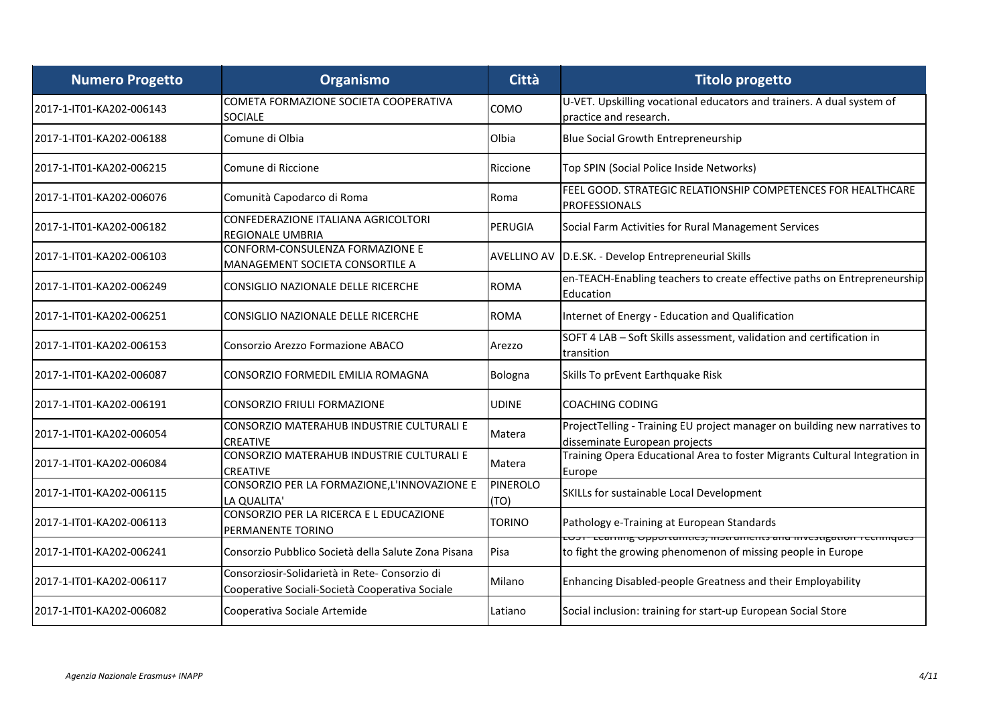| <b>Numero Progetto</b>   | Organismo                                                                                        | Città                   | <b>Titolo progetto</b>                                                                                                                   |
|--------------------------|--------------------------------------------------------------------------------------------------|-------------------------|------------------------------------------------------------------------------------------------------------------------------------------|
| 2017-1-IT01-KA202-006143 | COMETA FORMAZIONE SOCIETA COOPERATIVA<br><b>SOCIALE</b>                                          | COMO                    | U-VET. Upskilling vocational educators and trainers. A dual system of<br>practice and research.                                          |
| 2017-1-IT01-KA202-006188 | Comune di Olbia                                                                                  | Olbia                   | <b>Blue Social Growth Entrepreneurship</b>                                                                                               |
| 2017-1-IT01-KA202-006215 | Comune di Riccione                                                                               | Riccione                | Top SPIN (Social Police Inside Networks)                                                                                                 |
| 2017-1-IT01-KA202-006076 | Comunità Capodarco di Roma                                                                       | Roma                    | FEEL GOOD. STRATEGIC RELATIONSHIP COMPETENCES FOR HEALTHCARE<br>PROFESSIONALS                                                            |
| 2017-1-IT01-KA202-006182 | CONFEDERAZIONE ITALIANA AGRICOLTORI<br><b>REGIONALE UMBRIA</b>                                   | PERUGIA                 | Social Farm Activities for Rural Management Services                                                                                     |
| 2017-1-IT01-KA202-006103 | CONFORM-CONSULENZA FORMAZIONE E<br>MANAGEMENT SOCIETA CONSORTILE A                               | <b>AVELLINO AV</b>      | D.E.SK. - Develop Entrepreneurial Skills                                                                                                 |
| 2017-1-IT01-KA202-006249 | CONSIGLIO NAZIONALE DELLE RICERCHE                                                               | <b>ROMA</b>             | en-TEACH-Enabling teachers to create effective paths on Entrepreneurship<br>Education                                                    |
| 2017-1-IT01-KA202-006251 | <b>CONSIGLIO NAZIONALE DELLE RICERCHE</b>                                                        | <b>ROMA</b>             | Internet of Energy - Education and Qualification                                                                                         |
| 2017-1-IT01-KA202-006153 | Consorzio Arezzo Formazione ABACO                                                                | Arezzo                  | SOFT 4 LAB - Soft Skills assessment, validation and certification in<br>transition                                                       |
| 2017-1-IT01-KA202-006087 | CONSORZIO FORMEDIL EMILIA ROMAGNA                                                                | Bologna                 | Skills To prEvent Earthquake Risk                                                                                                        |
| 2017-1-IT01-KA202-006191 | CONSORZIO FRIULI FORMAZIONE                                                                      | UDINE                   | <b>COACHING CODING</b>                                                                                                                   |
| 2017-1-IT01-KA202-006054 | CONSORZIO MATERAHUB INDUSTRIE CULTURALI E<br><b>CREATIVE</b>                                     | Matera                  | ProjectTelling - Training EU project manager on building new narratives to<br>disseminate European projects                              |
| 2017-1-IT01-KA202-006084 | CONSORZIO MATERAHUB INDUSTRIE CULTURALI E<br><b>CREATIVE</b>                                     | Matera                  | Training Opera Educational Area to foster Migrants Cultural Integration in<br>Europe                                                     |
| 2017-1-IT01-KA202-006115 | CONSORZIO PER LA FORMAZIONE, L'INNOVAZIONE E<br>LA QUALITA                                       | <b>PINEROLO</b><br>(TO) | SKILLs for sustainable Local Development                                                                                                 |
| 2017-1-IT01-KA202-006113 | CONSORZIO PER LA RICERCA E L EDUCAZIONE<br>PERMANENTE TORINO                                     | <b>TORINO</b>           | Pathology e-Training at European Standards                                                                                               |
| 2017-1-IT01-KA202-006241 | Consorzio Pubblico Società della Salute Zona Pisana                                              | Pisa                    | יוויוק טאָסטרנטווונוכט, וווטנו טוווכוונט טווט ווועכטנוקטנוטוו דכרווווקטכט<br>to fight the growing phenomenon of missing people in Europe |
| 2017-1-IT01-KA202-006117 | Consorziosir-Solidarietà in Rete-Consorzio di<br>Cooperative Sociali-Società Cooperativa Sociale | Milano                  | Enhancing Disabled-people Greatness and their Employability                                                                              |
| 2017-1-IT01-KA202-006082 | Cooperativa Sociale Artemide                                                                     | Latiano                 | Social inclusion: training for start-up European Social Store                                                                            |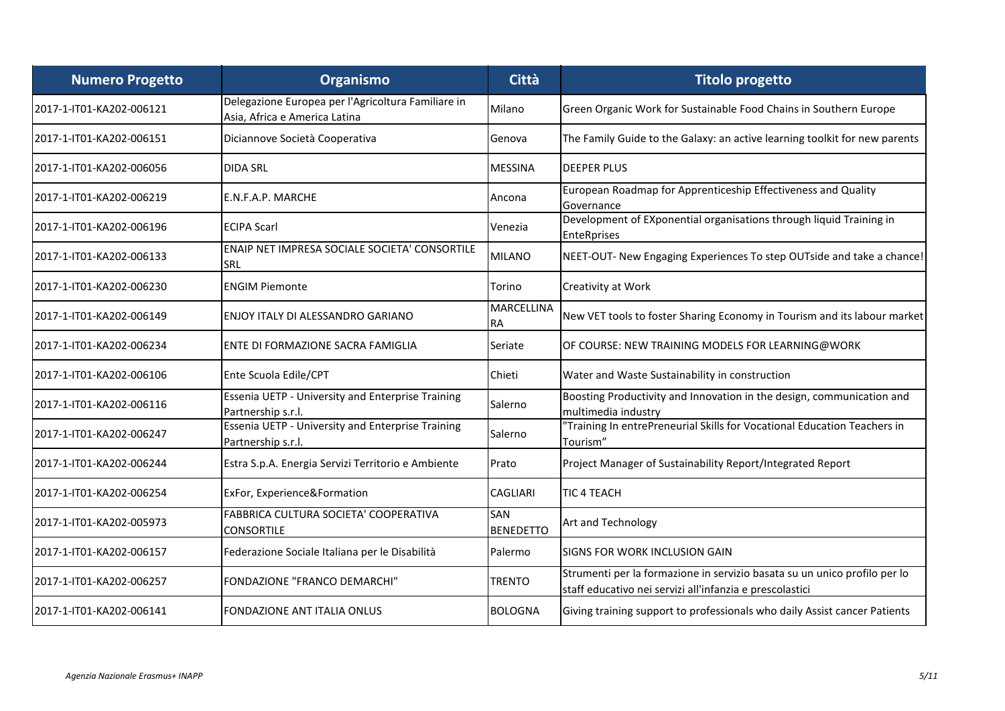| <b>Numero Progetto</b>   | Organismo                                                                           | Città                   | <b>Titolo progetto</b>                                                                                                                |
|--------------------------|-------------------------------------------------------------------------------------|-------------------------|---------------------------------------------------------------------------------------------------------------------------------------|
| 2017-1-IT01-KA202-006121 | Delegazione Europea per l'Agricoltura Familiare in<br>Asia, Africa e America Latina | Milano                  | Green Organic Work for Sustainable Food Chains in Southern Europe                                                                     |
| 2017-1-IT01-KA202-006151 | Diciannove Società Cooperativa                                                      | Genova                  | The Family Guide to the Galaxy: an active learning toolkit for new parents                                                            |
| 2017-1-IT01-KA202-006056 | <b>DIDA SRL</b>                                                                     | <b>MESSINA</b>          | <b>DEEPER PLUS</b>                                                                                                                    |
| 2017-1-IT01-KA202-006219 | E.N.F.A.P. MARCHE                                                                   | Ancona                  | European Roadmap for Apprenticeship Effectiveness and Quality<br>Governance                                                           |
| 2017-1-IT01-KA202-006196 | <b>IECIPA Scarl</b>                                                                 | Venezia                 | Development of EXponential organisations through liquid Training in<br><b>EnteRprises</b>                                             |
| 2017-1-IT01-KA202-006133 | ENAIP NET IMPRESA SOCIALE SOCIETA' CONSORTILE<br>ISRL                               | <b>MILANO</b>           | NEET-OUT- New Engaging Experiences To step OUTside and take a chance!                                                                 |
| 2017-1-IT01-KA202-006230 | <b>IENGIM Piemonte</b>                                                              | Torino                  | Creativity at Work                                                                                                                    |
| 2017-1-IT01-KA202-006149 | ENJOY ITALY DI ALESSANDRO GARIANO                                                   | MARCELLINA<br>RA.       | New VET tools to foster Sharing Economy in Tourism and its labour market                                                              |
| 2017-1-IT01-KA202-006234 | ENTE DI FORMAZIONE SACRA FAMIGLIA                                                   | Seriate                 | OF COURSE: NEW TRAINING MODELS FOR LEARNING@WORK                                                                                      |
| 2017-1-IT01-KA202-006106 | Ente Scuola Edile/CPT                                                               | Chieti                  | Water and Waste Sustainability in construction                                                                                        |
| 2017-1-IT01-KA202-006116 | Essenia UETP - University and Enterprise Training<br>Partnership s.r.l.             | Salerno                 | Boosting Productivity and Innovation in the design, communication and<br>multimedia industry                                          |
| 2017-1-IT01-KA202-006247 | Essenia UETP - University and Enterprise Training<br>Partnership s.r.l.             | Salerno                 | "Training In entrePreneurial Skills for Vocational Education Teachers in<br>Tourism"                                                  |
| 2017-1-IT01-KA202-006244 | Estra S.p.A. Energia Servizi Territorio e Ambiente                                  | Prato                   | Project Manager of Sustainability Report/Integrated Report                                                                            |
| 2017-1-IT01-KA202-006254 | ExFor, Experience&Formation                                                         | <b>CAGLIARI</b>         | TIC 4 TEACH                                                                                                                           |
| 2017-1-IT01-KA202-005973 | FABBRICA CULTURA SOCIETA' COOPERATIVA<br><b>CONSORTILE</b>                          | SAN<br><b>BENEDETTO</b> | Art and Technology                                                                                                                    |
| 2017-1-IT01-KA202-006157 | Federazione Sociale Italiana per le Disabilità                                      | Palermo                 | <b>SIGNS FOR WORK INCLUSION GAIN</b>                                                                                                  |
| 2017-1-IT01-KA202-006257 | FONDAZIONE "FRANCO DEMARCHI"                                                        | TRENTO                  | Strumenti per la formazione in servizio basata su un unico profilo per lo<br>staff educativo nei servizi all'infanzia e prescolastici |
| 2017-1-IT01-KA202-006141 | <b>FONDAZIONE ANT ITALIA ONLUS</b>                                                  | <b>BOLOGNA</b>          | Giving training support to professionals who daily Assist cancer Patients                                                             |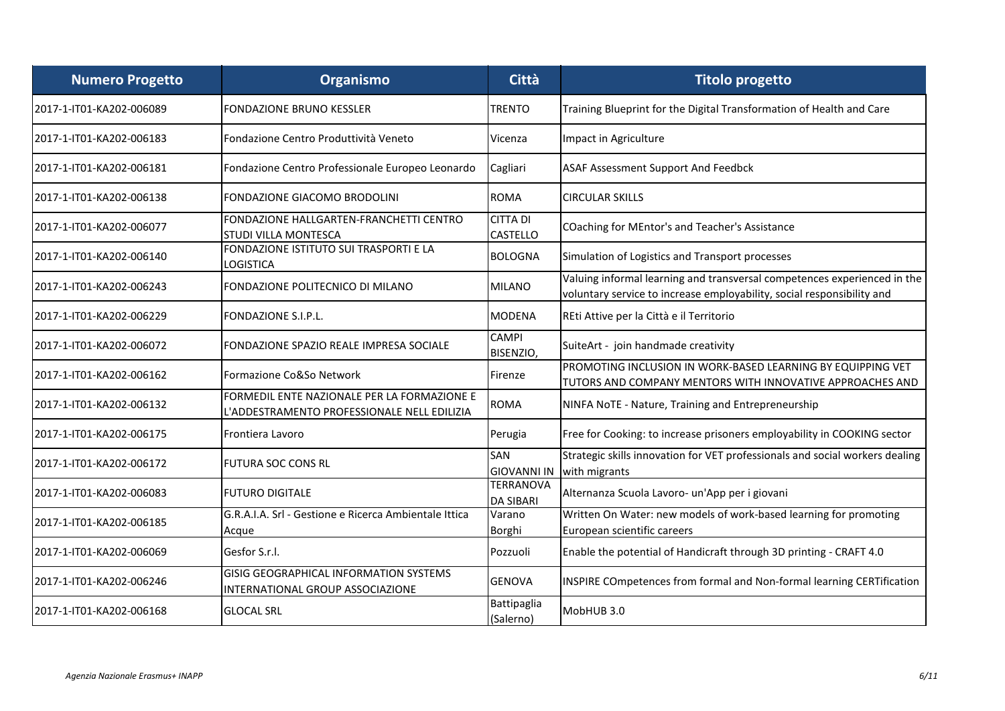| <b>Numero Progetto</b>   | Organismo                                                                                  | <b>Città</b>                         | <b>Titolo progetto</b>                                                                                                                             |
|--------------------------|--------------------------------------------------------------------------------------------|--------------------------------------|----------------------------------------------------------------------------------------------------------------------------------------------------|
| 2017-1-IT01-KA202-006089 | <b>FONDAZIONE BRUNO KESSLER</b>                                                            | <b>TRENTO</b>                        | Training Blueprint for the Digital Transformation of Health and Care                                                                               |
| 2017-1-IT01-KA202-006183 | Fondazione Centro Produttività Veneto                                                      | Vicenza                              | Impact in Agriculture                                                                                                                              |
| 2017-1-IT01-KA202-006181 | Fondazione Centro Professionale Europeo Leonardo                                           | Cagliari                             | <b>ASAF Assessment Support And Feedbck</b>                                                                                                         |
| 2017-1-IT01-KA202-006138 | <b>FONDAZIONE GIACOMO BRODOLINI</b>                                                        | <b>ROMA</b>                          | <b>CIRCULAR SKILLS</b>                                                                                                                             |
| 2017-1-IT01-KA202-006077 | FONDAZIONE HALLGARTEN-FRANCHETTI CENTRO<br>STUDI VILLA MONTESCA                            | <b>CITTA DI</b><br><b>CASTELLO</b>   | COaching for MEntor's and Teacher's Assistance                                                                                                     |
| 2017-1-IT01-KA202-006140 | FONDAZIONE ISTITUTO SUI TRASPORTI E LA<br><b>LOGISTICA</b>                                 | <b>BOLOGNA</b>                       | Simulation of Logistics and Transport processes                                                                                                    |
| 2017-1-IT01-KA202-006243 | FONDAZIONE POLITECNICO DI MILANO                                                           | <b>MILANO</b>                        | Valuing informal learning and transversal competences experienced in the<br>voluntary service to increase employability, social responsibility and |
| 2017-1-IT01-KA202-006229 | <b>FONDAZIONE S.I.P.L.</b>                                                                 | <b>MODENA</b>                        | REti Attive per la Città e il Territorio                                                                                                           |
| 2017-1-IT01-KA202-006072 | FONDAZIONE SPAZIO REALE IMPRESA SOCIALE                                                    | <b>CAMPI</b><br>BISENZIO,            | SuiteArt - join handmade creativity                                                                                                                |
| 2017-1-IT01-KA202-006162 | Formazione Co&So Network                                                                   | Firenze                              | PROMOTING INCLUSION IN WORK-BASED LEARNING BY EQUIPPING VET<br>TUTORS AND COMPANY MENTORS WITH INNOVATIVE APPROACHES AND                           |
| 2017-1-IT01-KA202-006132 | FORMEDIL ENTE NAZIONALE PER LA FORMAZIONE E<br>L'ADDESTRAMENTO PROFESSIONALE NELL EDILIZIA | <b>ROMA</b>                          | NINFA NoTE - Nature, Training and Entrepreneurship                                                                                                 |
| 2017-1-IT01-KA202-006175 | Frontiera Lavoro                                                                           | Perugia                              | Free for Cooking: to increase prisoners employability in COOKING sector                                                                            |
| 2017-1-IT01-KA202-006172 | IFUTURA SOC CONS RL                                                                        | SAN<br><b>GIOVANNI IN</b>            | Strategic skills innovation for VET professionals and social workers dealing<br>with migrants                                                      |
| 2017-1-IT01-KA202-006083 | <b>FUTURO DIGITALE</b>                                                                     | <b>TERRANOVA</b><br><b>DA SIBARI</b> | Alternanza Scuola Lavoro- un'App per i giovani                                                                                                     |
| 2017-1-IT01-KA202-006185 | G.R.A.I.A. Srl - Gestione e Ricerca Ambientale Ittica<br>Acque                             | Varano<br>Borghi                     | Written On Water: new models of work-based learning for promoting<br>European scientific careers                                                   |
| 2017-1-IT01-KA202-006069 | Gesfor S.r.I.                                                                              | Pozzuoli                             | Enable the potential of Handicraft through 3D printing - CRAFT 4.0                                                                                 |
| 2017-1-IT01-KA202-006246 | GISIG GEOGRAPHICAL INFORMATION SYSTEMS<br>INTERNATIONAL GROUP ASSOCIAZIONE                 | <b>GENOVA</b>                        | INSPIRE COmpetences from formal and Non-formal learning CERTification                                                                              |
| 2017-1-IT01-KA202-006168 | <b>GLOCAL SRL</b>                                                                          | Battipaglia<br>(Salerno)             | MobHUB 3.0                                                                                                                                         |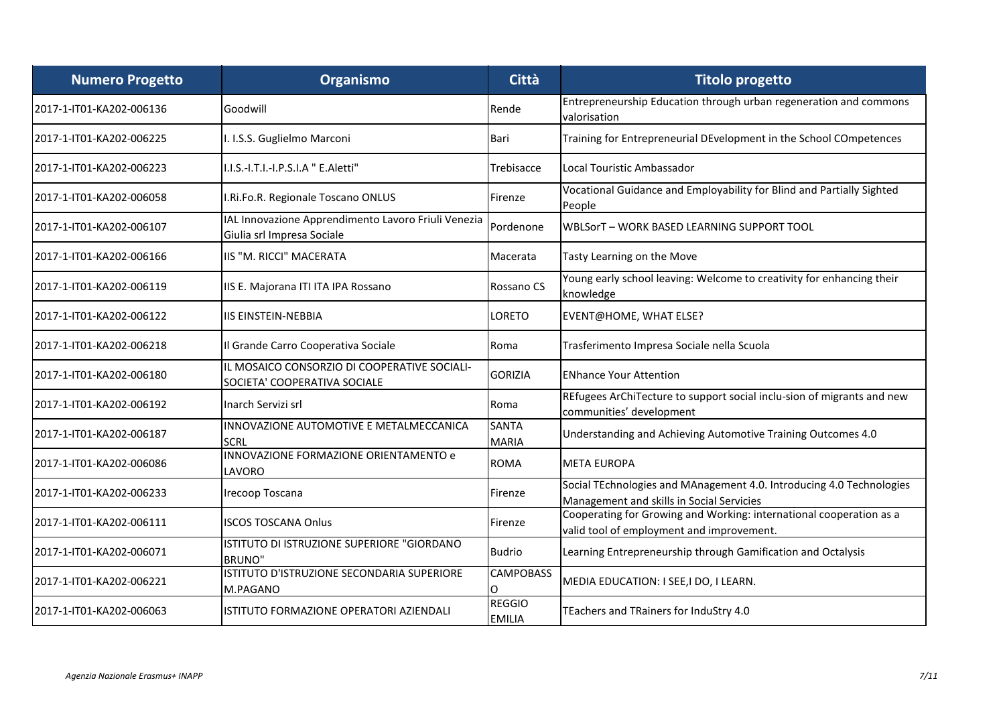| <b>Numero Progetto</b>   | Organismo                                                                         | <b>Città</b>                   | <b>Titolo progetto</b>                                                                                            |
|--------------------------|-----------------------------------------------------------------------------------|--------------------------------|-------------------------------------------------------------------------------------------------------------------|
| 2017-1-IT01-KA202-006136 | Goodwill                                                                          | Rende                          | Entrepreneurship Education through urban regeneration and commons<br>valorisation                                 |
| 2017-1-IT01-KA202-006225 | I. I.S.S. Guglielmo Marconi                                                       | Bari                           | Training for Entrepreneurial DEvelopment in the School COmpetences                                                |
| 2017-1-IT01-KA202-006223 | II.I.S.-I.T.I.-I.P.S.I.A " E.Aletti"                                              | Trebisacce                     | Local Touristic Ambassador                                                                                        |
| 2017-1-IT01-KA202-006058 | I.Ri.Fo.R. Regionale Toscano ONLUS                                                | Firenze                        | Vocational Guidance and Employability for Blind and Partially Sighted<br>People                                   |
| 2017-1-IT01-KA202-006107 | IAL Innovazione Apprendimento Lavoro Friuli Venezia<br>Giulia srl Impresa Sociale | Pordenone                      | <b>WBLSorT-WORK BASED LEARNING SUPPORT TOOL</b>                                                                   |
| 2017-1-IT01-KA202-006166 | IIS "M. RICCI" MACERATA                                                           | Macerata                       | Tasty Learning on the Move                                                                                        |
| 2017-1-IT01-KA202-006119 | IIS E. Majorana ITI ITA IPA Rossano                                               | Rossano CS                     | Young early school leaving: Welcome to creativity for enhancing their<br>knowledge                                |
| 2017-1-IT01-KA202-006122 | IIS EINSTEIN-NEBBIA                                                               | LORETO                         | EVENT@HOME, WHAT ELSE?                                                                                            |
| 2017-1-IT01-KA202-006218 | Il Grande Carro Cooperativa Sociale                                               | Roma                           | Trasferimento Impresa Sociale nella Scuola                                                                        |
| 2017-1-IT01-KA202-006180 | IL MOSAICO CONSORZIO DI COOPERATIVE SOCIALI-<br>SOCIETA' COOPERATIVA SOCIALE      | <b>GORIZIA</b>                 | <b>ENhance Your Attention</b>                                                                                     |
| 2017-1-IT01-KA202-006192 | Inarch Servizi srl                                                                | Roma                           | REfugees ArChiTecture to support social inclu-sion of migrants and new<br>communities' development                |
| 2017-1-IT01-KA202-006187 | INNOVAZIONE AUTOMOTIVE E METALMECCANICA<br><b>SCRL</b>                            | <b>SANTA</b><br>MARIA          | Understanding and Achieving Automotive Training Outcomes 4.0                                                      |
| 2017-1-IT01-KA202-006086 | INNOVAZIONE FORMAZIONE ORIENTAMENTO e<br><b>LAVORO</b>                            | <b>ROMA</b>                    | <b>META EUROPA</b>                                                                                                |
| 2017-1-IT01-KA202-006233 | Irecoop Toscana                                                                   | Firenze                        | Social TEchnologies and MAnagement 4.0. Introducing 4.0 Technologies<br>Management and skills in Social Servicies |
| 2017-1-IT01-KA202-006111 | <b>ISCOS TOSCANA Onlus</b>                                                        | Firenze                        | Cooperating for Growing and Working: international cooperation as a<br>valid tool of employment and improvement.  |
| 2017-1-IT01-KA202-006071 | ISTITUTO DI ISTRUZIONE SUPERIORE "GIORDANO<br><b>BRUNO</b> "                      | <b>Budrio</b>                  | Learning Entrepreneurship through Gamification and Octalysis                                                      |
| 2017-1-IT01-KA202-006221 | ISTITUTO D'ISTRUZIONE SECONDARIA SUPERIORE<br>M.PAGANO                            | <b>CAMPOBASS</b><br>0          | MEDIA EDUCATION: I SEE, I DO, I LEARN.                                                                            |
| 2017-1-IT01-KA202-006063 | ISTITUTO FORMAZIONE OPERATORI AZIENDALI                                           | <b>REGGIO</b><br><b>EMILIA</b> | TEachers and TRainers for InduStry 4.0                                                                            |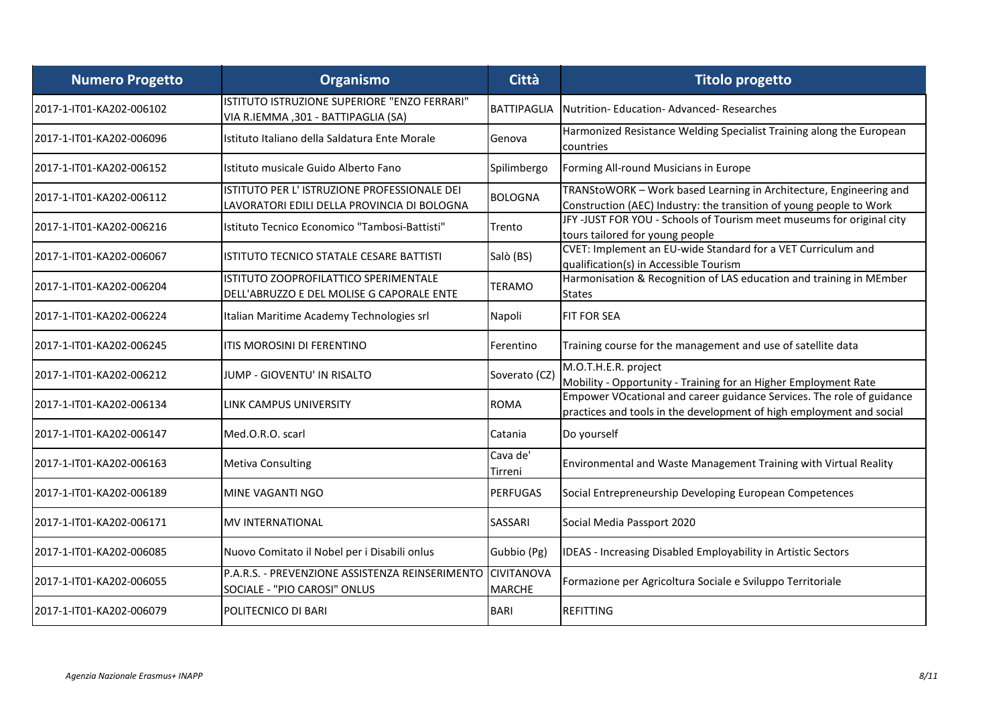| <b>Numero Progetto</b>   | Organismo                                                                                  | <b>Città</b>                       | <b>Titolo progetto</b>                                                                                                                        |
|--------------------------|--------------------------------------------------------------------------------------------|------------------------------------|-----------------------------------------------------------------------------------------------------------------------------------------------|
| 2017-1-IT01-KA202-006102 | ISTITUTO ISTRUZIONE SUPERIORE "ENZO FERRARI"<br>VIA R.IEMMA, 301 - BATTIPAGLIA (SA)        | <b>BATTIPAGLIA</b>                 | Nutrition-Education-Advanced-Researches                                                                                                       |
| 2017-1-IT01-KA202-006096 | Istituto Italiano della Saldatura Ente Morale                                              | Genova                             | Harmonized Resistance Welding Specialist Training along the European<br>countries                                                             |
| 2017-1-IT01-KA202-006152 | Istituto musicale Guido Alberto Fano                                                       | Spilimbergo                        | Forming All-round Musicians in Europe                                                                                                         |
| 2017-1-IT01-KA202-006112 | ISTITUTO PER L'ISTRUZIONE PROFESSIONALE DEI<br>LAVORATORI EDILI DELLA PROVINCIA DI BOLOGNA | <b>BOLOGNA</b>                     | TRANStoWORK - Work based Learning in Architecture, Engineering and<br>Construction (AEC) Industry: the transition of young people to Work     |
| 2017-1-IT01-KA202-006216 | Istituto Tecnico Economico "Tambosi-Battisti"                                              | Trento                             | JFY-JUST FOR YOU - Schools of Tourism meet museums for original city<br>tours tailored for young people                                       |
| 2017-1-IT01-KA202-006067 | ISTITUTO TECNICO STATALE CESARE BATTISTI                                                   | Salò (BS)                          | CVET: Implement an EU-wide Standard for a VET Curriculum and<br>qualification(s) in Accessible Tourism                                        |
| 2017-1-IT01-KA202-006204 | <b>ISTITUTO ZOOPROFILATTICO SPERIMENTALE</b><br>DELL'ABRUZZO E DEL MOLISE G CAPORALE ENTE  | <b>TERAMO</b>                      | Harmonisation & Recognition of LAS education and training in MEmber<br><b>States</b>                                                          |
| 2017-1-IT01-KA202-006224 | Italian Maritime Academy Technologies srl                                                  | Napoli                             | <b>FIT FOR SEA</b>                                                                                                                            |
| 2017-1-IT01-KA202-006245 | ITIS MOROSINI DI FERENTINO                                                                 | Ferentino                          | Training course for the management and use of satellite data                                                                                  |
| 2017-1-IT01-KA202-006212 | JUMP - GIOVENTU' IN RISALTO                                                                | Soverato (CZ)                      | M.O.T.H.E.R. project<br>Mobility - Opportunity - Training for an Higher Employment Rate                                                       |
| 2017-1-IT01-KA202-006134 | LINK CAMPUS UNIVERSITY                                                                     | <b>ROMA</b>                        | Empower VOcational and career guidance Services. The role of guidance<br>practices and tools in the development of high employment and social |
| 2017-1-IT01-KA202-006147 | Med.O.R.O. scarl                                                                           | Catania                            | Do yourself                                                                                                                                   |
| 2017-1-IT01-KA202-006163 | <b>Metiva Consulting</b>                                                                   | Cava de'<br>Tirreni                | Environmental and Waste Management Training with Virtual Reality                                                                              |
| 2017-1-IT01-KA202-006189 | MINE VAGANTI NGO                                                                           | <b>PERFUGAS</b>                    | Social Entrepreneurship Developing European Competences                                                                                       |
| 2017-1-IT01-KA202-006171 | IMV INTERNATIONAL                                                                          | SASSARI                            | Social Media Passport 2020                                                                                                                    |
| 2017-1-IT01-KA202-006085 | Nuovo Comitato il Nobel per i Disabili onlus                                               | Gubbio (Pg)                        | IDEAS - Increasing Disabled Employability in Artistic Sectors                                                                                 |
| 2017-1-IT01-KA202-006055 | P.A.R.S. - PREVENZIONE ASSISTENZA REINSERIMENTO<br>SOCIALE - "PIO CAROSI" ONLUS            | <b>CIVITANOVA</b><br><b>MARCHE</b> | Formazione per Agricoltura Sociale e Sviluppo Territoriale                                                                                    |
| 2017-1-IT01-KA202-006079 | POLITECNICO DI BARI                                                                        | <b>BARI</b>                        | <b>REFITTING</b>                                                                                                                              |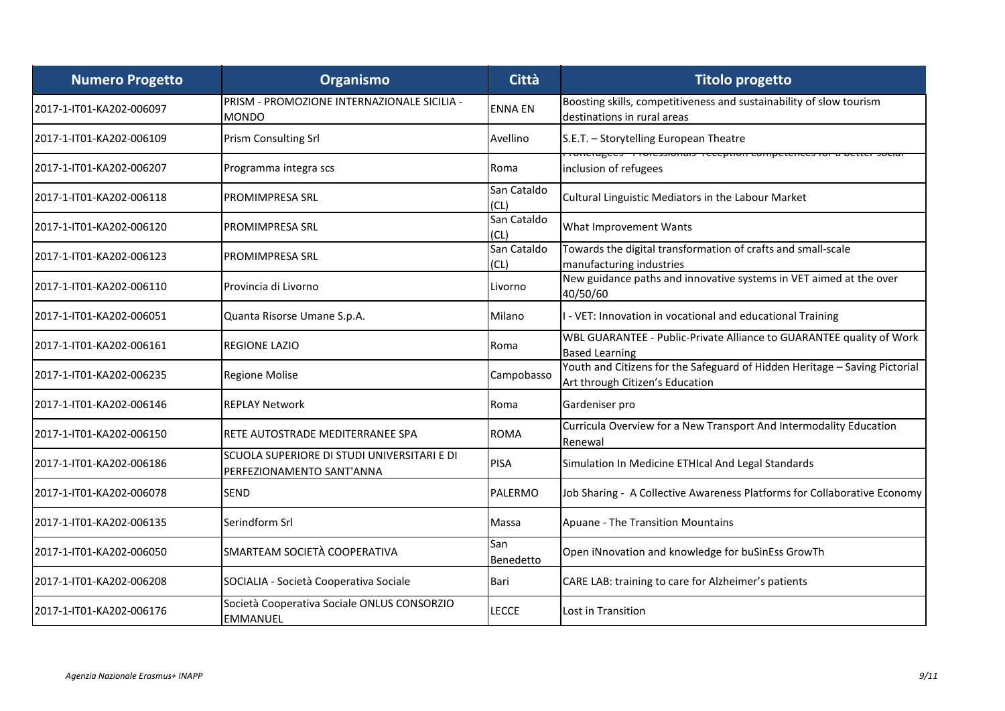| <b>Numero Progetto</b>   | Organismo                                                                | <b>Città</b>        | <b>Titolo progetto</b>                                                                                        |
|--------------------------|--------------------------------------------------------------------------|---------------------|---------------------------------------------------------------------------------------------------------------|
| 2017-1-IT01-KA202-006097 | PRISM - PROMOZIONE INTERNAZIONALE SICILIA -<br><b>MONDO</b>              | <b>ENNA EN</b>      | Boosting skills, competitiveness and sustainability of slow tourism<br>destinations in rural areas            |
| 2017-1-IT01-KA202-006109 | <b>Prism Consulting Srl</b>                                              | Avellino            | S.E.T. - Storytelling European Theatre                                                                        |
| 2017-1-IT01-KA202-006207 | Programma integra scs                                                    | Roma                | TURCIUSCO TITUICSSIUNIAIS TECEPRIUN CUMPERENCES IUI A DETE<br>inclusion of refugees                           |
| 2017-1-IT01-KA202-006118 | <b>PROMIMPRESA SRL</b>                                                   | San Cataldo<br>(CL) | Cultural Linguistic Mediators in the Labour Market                                                            |
| 2017-1-IT01-KA202-006120 | <b>PROMIMPRESA SRL</b>                                                   | San Cataldo<br>(CL) | What Improvement Wants                                                                                        |
| 2017-1-IT01-KA202-006123 | <b>PROMIMPRESA SRL</b>                                                   | San Cataldo<br>(CL) | Towards the digital transformation of crafts and small-scale<br>manufacturing industries                      |
| 2017-1-IT01-KA202-006110 | Provincia di Livorno                                                     | Livorno             | New guidance paths and innovative systems in VET aimed at the over<br>40/50/60                                |
| 2017-1-IT01-KA202-006051 | Quanta Risorse Umane S.p.A.                                              | Milano              | I - VET: Innovation in vocational and educational Training                                                    |
| 2017-1-IT01-KA202-006161 | <b>REGIONE LAZIO</b>                                                     | Roma                | WBL GUARANTEE - Public-Private Alliance to GUARANTEE quality of Work<br><b>Based Learning</b>                 |
| 2017-1-IT01-KA202-006235 | <b>Regione Molise</b>                                                    | Campobasso          | Youth and Citizens for the Safeguard of Hidden Heritage - Saving Pictorial<br>Art through Citizen's Education |
| 2017-1-IT01-KA202-006146 | <b>REPLAY Network</b>                                                    | Roma                | Gardeniser pro                                                                                                |
| 2017-1-IT01-KA202-006150 | RETE AUTOSTRADE MEDITERRANEE SPA                                         | <b>ROMA</b>         | Curricula Overview for a New Transport And Intermodality Education<br>Renewal                                 |
| 2017-1-IT01-KA202-006186 | SCUOLA SUPERIORE DI STUDI UNIVERSITARI E DI<br>PERFEZIONAMENTO SANT'ANNA | <b>PISA</b>         | Simulation In Medicine ETHIcal And Legal Standards                                                            |
| 2017-1-IT01-KA202-006078 | <b>SEND</b>                                                              | <b>PALERMO</b>      | Job Sharing - A Collective Awareness Platforms for Collaborative Economy                                      |
| 2017-1-IT01-KA202-006135 | Serindform Srl                                                           | Massa               | Apuane - The Transition Mountains                                                                             |
| 2017-1-IT01-KA202-006050 | SMARTEAM SOCIETÀ COOPERATIVA                                             | San<br>Benedetto    | Open iNnovation and knowledge for buSinEss GrowTh                                                             |
| 2017-1-IT01-KA202-006208 | SOCIALIA - Società Cooperativa Sociale                                   | Bari                | CARE LAB: training to care for Alzheimer's patients                                                           |
| 2017-1-IT01-KA202-006176 | Società Cooperativa Sociale ONLUS CONSORZIO<br><b>EMMANUEL</b>           | <b>LECCE</b>        | Lost in Transition                                                                                            |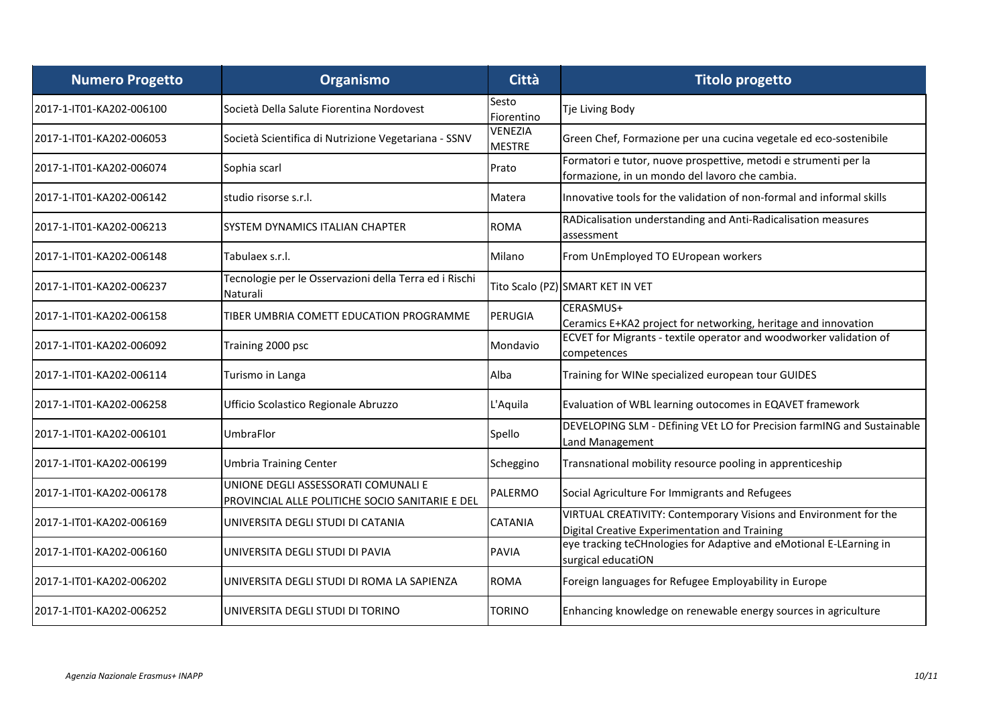| <b>Numero Progetto</b>   | Organismo                                                                              | Città                    | <b>Titolo progetto</b>                                                                                            |
|--------------------------|----------------------------------------------------------------------------------------|--------------------------|-------------------------------------------------------------------------------------------------------------------|
| 2017-1-IT01-KA202-006100 | Società Della Salute Fiorentina Nordovest                                              | Sesto<br>Fiorentino      | Tje Living Body                                                                                                   |
| 2017-1-IT01-KA202-006053 | Società Scientifica di Nutrizione Vegetariana - SSNV                                   | VENEZIA<br><b>MESTRE</b> | Green Chef, Formazione per una cucina vegetale ed eco-sostenibile                                                 |
| 2017-1-IT01-KA202-006074 | Sophia scarl                                                                           | Prato                    | Formatori e tutor, nuove prospettive, metodi e strumenti per la<br>formazione, in un mondo del lavoro che cambia. |
| 2017-1-IT01-KA202-006142 | studio risorse s.r.l.                                                                  | Matera                   | Innovative tools for the validation of non-formal and informal skills                                             |
| 2017-1-IT01-KA202-006213 | <b>SYSTEM DYNAMICS ITALIAN CHAPTER</b>                                                 | <b>ROMA</b>              | RADicalisation understanding and Anti-Radicalisation measures<br>assessment                                       |
| 2017-1-IT01-KA202-006148 | Tabulaex s.r.l.                                                                        | Milano                   | From UnEmployed TO EUropean workers                                                                               |
| 2017-1-IT01-KA202-006237 | Tecnologie per le Osservazioni della Terra ed i Rischi<br>Naturali                     |                          | Tito Scalo (PZ) SMART KET IN VET                                                                                  |
| 2017-1-IT01-KA202-006158 | TIBER UMBRIA COMETT EDUCATION PROGRAMME                                                | PERUGIA                  | CERASMUS+<br>Ceramics E+KA2 project for networking, heritage and innovation                                       |
| 2017-1-IT01-KA202-006092 | Training 2000 psc                                                                      | Mondavio                 | ECVET for Migrants - textile operator and woodworker validation of<br>competences                                 |
| 2017-1-IT01-KA202-006114 | Turismo in Langa                                                                       | Alba                     | Training for WINe specialized european tour GUIDES                                                                |
| 2017-1-IT01-KA202-006258 | Ufficio Scolastico Regionale Abruzzo                                                   | L'Aquila                 | Evaluation of WBL learning outocomes in EQAVET framework                                                          |
| 2017-1-IT01-KA202-006101 | UmbraFlor                                                                              | Spello                   | DEVELOPING SLM - DEfining VEt LO for Precision farmING and Sustainable<br>Land Management                         |
| 2017-1-IT01-KA202-006199 | <b>Umbria Training Center</b>                                                          | Scheggino                | Transnational mobility resource pooling in apprenticeship                                                         |
| 2017-1-IT01-KA202-006178 | UNIONE DEGLI ASSESSORATI COMUNALI E<br>PROVINCIAL ALLE POLITICHE SOCIO SANITARIE E DEL | PALERMO                  | Social Agriculture For Immigrants and Refugees                                                                    |
| 2017-1-IT01-KA202-006169 | UNIVERSITA DEGLI STUDI DI CATANIA                                                      | <b>CATANIA</b>           | VIRTUAL CREATIVITY: Contemporary Visions and Environment for the<br>Digital Creative Experimentation and Training |
| 2017-1-IT01-KA202-006160 | UNIVERSITA DEGLI STUDI DI PAVIA                                                        | <b>PAVIA</b>             | eye tracking teCHnologies for Adaptive and eMotional E-LEarning in<br>surgical educatiON                          |
| 2017-1-IT01-KA202-006202 | UNIVERSITA DEGLI STUDI DI ROMA LA SAPIENZA                                             | <b>ROMA</b>              | Foreign languages for Refugee Employability in Europe                                                             |
| 2017-1-IT01-KA202-006252 | UNIVERSITA DEGLI STUDI DI TORINO                                                       | TORINO                   | Enhancing knowledge on renewable energy sources in agriculture                                                    |